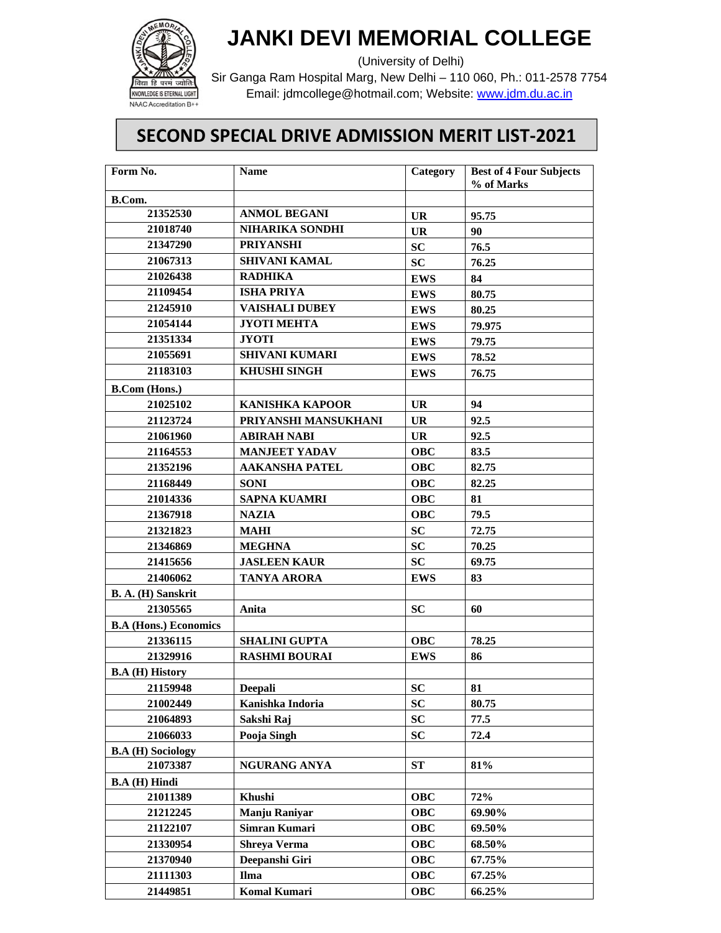

## **JANKI DEVI MEMORIAL COLLEGE**

(University of Delhi)

Sir Ganga Ram Hospital Marg, New Delhi – 110 060, Ph.: 011-2578 7754 Email: jdmcollege@hotmail.com; Website: www.jdm.du.ac.in

## **SECOND SPECIAL DRIVE ADMISSION MERIT LIST‐2021**

| Form No.                               | <b>Name</b>            | Category   | <b>Best of 4 Four Subjects</b><br>% of Marks |
|----------------------------------------|------------------------|------------|----------------------------------------------|
| B.Com.                                 |                        |            |                                              |
| 21352530                               | <b>ANMOL BEGANI</b>    | <b>UR</b>  | 95.75                                        |
| 21018740                               | NIHARIKA SONDHI        | UR         | 90                                           |
| 21347290                               | <b>PRIYANSHI</b>       | <b>SC</b>  | 76.5                                         |
| 21067313                               | <b>SHIVANI KAMAL</b>   | <b>SC</b>  | 76.25                                        |
| 21026438                               | <b>RADHIKA</b>         | <b>EWS</b> | 84                                           |
| 21109454                               | <b>ISHA PRIYA</b>      | <b>EWS</b> | 80.75                                        |
| 21245910                               | <b>VAISHALI DUBEY</b>  | <b>EWS</b> | 80.25                                        |
| 21054144                               | <b>JYOTI MEHTA</b>     | <b>EWS</b> | 79.975                                       |
| 21351334                               | JYOTI                  | <b>EWS</b> | 79.75                                        |
| 21055691                               | <b>SHIVANI KUMARI</b>  | <b>EWS</b> | 78.52                                        |
| 21183103                               | <b>KHUSHI SINGH</b>    | <b>EWS</b> | 76.75                                        |
| <b>B.Com</b> (Hons.)                   |                        |            |                                              |
| 21025102                               | <b>KANISHKA KAPOOR</b> | <b>UR</b>  | 94                                           |
| 21123724                               | PRIYANSHI MANSUKHANI   | <b>UR</b>  | 92.5                                         |
| 21061960                               | <b>ABIRAH NABI</b>     | UR         | 92.5                                         |
| 21164553                               | <b>MANJEET YADAV</b>   | <b>OBC</b> | 83.5                                         |
| 21352196                               | <b>AAKANSHA PATEL</b>  | <b>OBC</b> | 82.75                                        |
| 21168449                               | <b>SONI</b>            | <b>OBC</b> | 82.25                                        |
| 21014336                               | <b>SAPNA KUAMRI</b>    | <b>OBC</b> | 81                                           |
| 21367918                               | <b>NAZIA</b>           | <b>OBC</b> | 79.5                                         |
| 21321823                               | <b>MAHI</b>            | <b>SC</b>  | 72.75                                        |
| 21346869                               | <b>MEGHNA</b>          | <b>SC</b>  | 70.25                                        |
| 21415656                               | <b>JASLEEN KAUR</b>    | <b>SC</b>  | 69.75                                        |
| 21406062                               | <b>TANYA ARORA</b>     | <b>EWS</b> | 83                                           |
| B. A. (H) Sanskrit                     |                        |            |                                              |
| 21305565                               | Anita                  | <b>SC</b>  | 60                                           |
| <b>B.A (Hons.) Economics</b>           |                        |            |                                              |
| 21336115                               | <b>SHALINI GUPTA</b>   | <b>OBC</b> | 78.25                                        |
| 21329916                               | <b>RASHMI BOURAI</b>   | <b>EWS</b> | 86                                           |
| <b>B.A</b> ( <b>H</b> ) <b>History</b> |                        |            |                                              |
| 21159948                               | <b>Deepali</b>         | SC         | 81                                           |
| 21002449                               | Kanishka Indoria       | <b>SC</b>  | 80.75                                        |
| 21064893                               | Sakshi Raj             | <b>SC</b>  | 77.5                                         |
| 21066033                               | Pooja Singh            | <b>SC</b>  | 72.4                                         |
| <b>B.A</b> ( <b>H</b> ) Sociology      |                        |            |                                              |
| 21073387                               | NGURANG ANYA           | <b>ST</b>  | 81%                                          |
| <b>B.A</b> ( <b>H</b> ) Hindi          |                        |            |                                              |
| 21011389                               | Khushi                 | <b>OBC</b> | 72%                                          |
| 21212245                               | Manju Raniyar          | <b>OBC</b> | 69.90%                                       |
| 21122107                               | Simran Kumari          | <b>OBC</b> | 69.50%                                       |
| 21330954                               | <b>Shreya Verma</b>    | <b>OBC</b> | 68.50%                                       |
| 21370940                               | Deepanshi Giri         | <b>OBC</b> | 67.75%                                       |
| 21111303                               | Ilma                   | <b>OBC</b> | 67.25%                                       |
| 21449851                               | <b>Komal Kumari</b>    | <b>OBC</b> | 66.25%                                       |